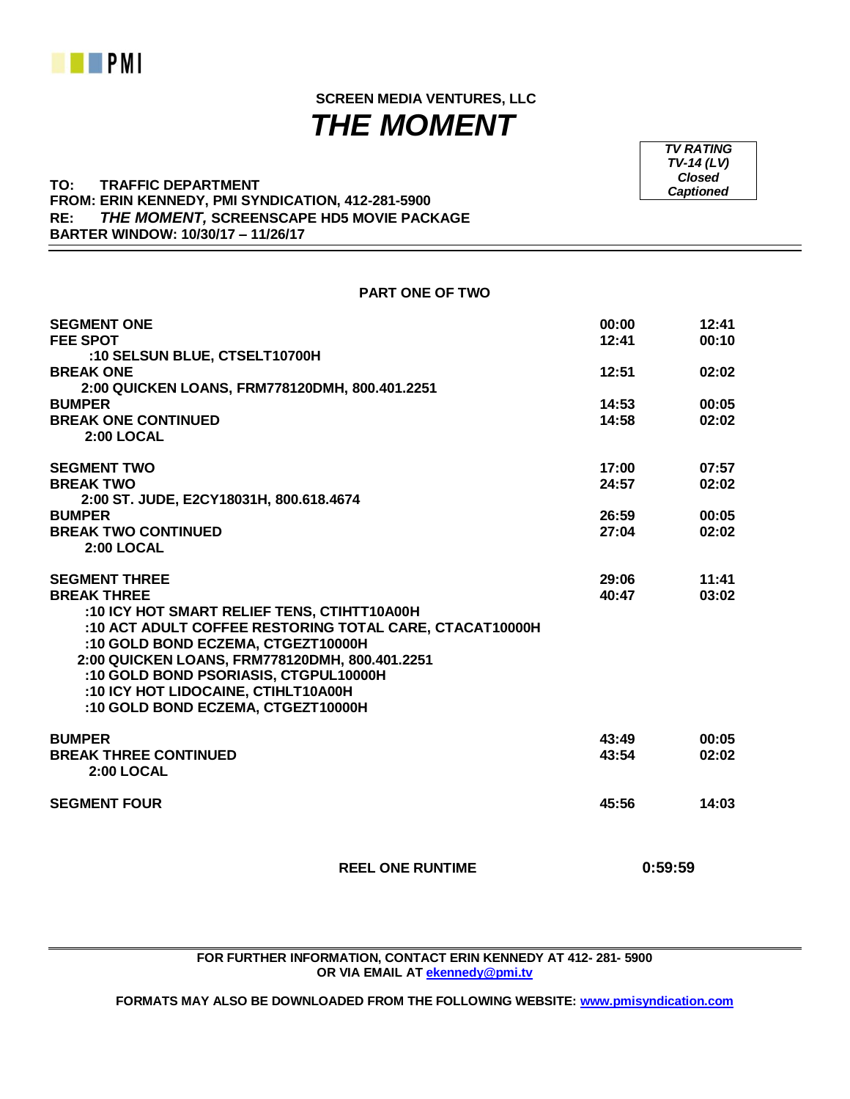

 **SCREEN MEDIA VENTURES, LLC**  *THE MOMENT*

**PART ONE OF TWO**

**TO: TRAFFIC DEPARTMENT FROM: ERIN KENNEDY, PMI SYNDICATION, 412-281-5900 RE:** *THE MOMENT,* **SCREENSCAPE HD5 MOVIE PACKAGE BARTER WINDOW: 10/30/17 – 11/26/17**

| <b>SEGMENT ONE</b>                                      | 00:00 | 12:41 |
|---------------------------------------------------------|-------|-------|
| <b>FEE SPOT</b>                                         | 12:41 | 00:10 |
| :10 SELSUN BLUE, CTSELT10700H                           |       |       |
| <b>BREAK ONE</b>                                        | 12:51 | 02:02 |
| 2:00 QUICKEN LOANS, FRM778120DMH, 800.401.2251          |       |       |
| <b>BUMPER</b>                                           | 14:53 | 00:05 |
| <b>BREAK ONE CONTINUED</b>                              | 14:58 | 02:02 |
| <b>2:00 LOCAL</b>                                       |       |       |
| <b>SEGMENT TWO</b>                                      | 17:00 | 07:57 |
| <b>BREAK TWO</b>                                        | 24:57 | 02:02 |
| 2:00 ST. JUDE, E2CY18031H, 800.618.4674                 |       |       |
| <b>BUMPER</b>                                           | 26:59 | 00:05 |
| <b>BREAK TWO CONTINUED</b>                              | 27:04 | 02:02 |
| 2:00 LOCAL                                              |       |       |
| <b>SEGMENT THREE</b>                                    | 29:06 | 11:41 |
| <b>BREAK THREE</b>                                      | 40:47 | 03:02 |
| :10 ICY HOT SMART RELIEF TENS, CTIHTT10A00H             |       |       |
| :10 ACT ADULT COFFEE RESTORING TOTAL CARE, CTACAT10000H |       |       |
| :10 GOLD BOND ECZEMA, CTGEZT10000H                      |       |       |
| 2:00 QUICKEN LOANS, FRM778120DMH, 800.401.2251          |       |       |
| :10 GOLD BOND PSORIASIS, CTGPUL10000H                   |       |       |
| :10 ICY HOT LIDOCAINE, CTIHLT10A00H                     |       |       |
| :10 GOLD BOND ECZEMA, CTGEZT10000H                      |       |       |
| <b>BUMPER</b>                                           | 43:49 | 00:05 |
| <b>BREAK THREE CONTINUED</b>                            | 43:54 | 02:02 |
| 2:00 LOCAL                                              |       |       |
| <b>SEGMENT FOUR</b>                                     | 45:56 | 14:03 |
|                                                         |       |       |
|                                                         |       |       |

 **REEL ONE RUNTIME 0:59:59**

**FOR FURTHER INFORMATION, CONTACT ERIN KENNEDY AT 412- 281- 5900 OR VIA EMAIL AT [ekennedy@pmi.tv](mailto:ekennedy@pmi.tv)**

**FORMATS MAY ALSO BE DOWNLOADED FROM THE FOLLOWING WEBSITE: [www.pmisyndication.com](http://www.pmisyndication.com/)**

*TV RATING TV-14 (LV) Closed Captioned*